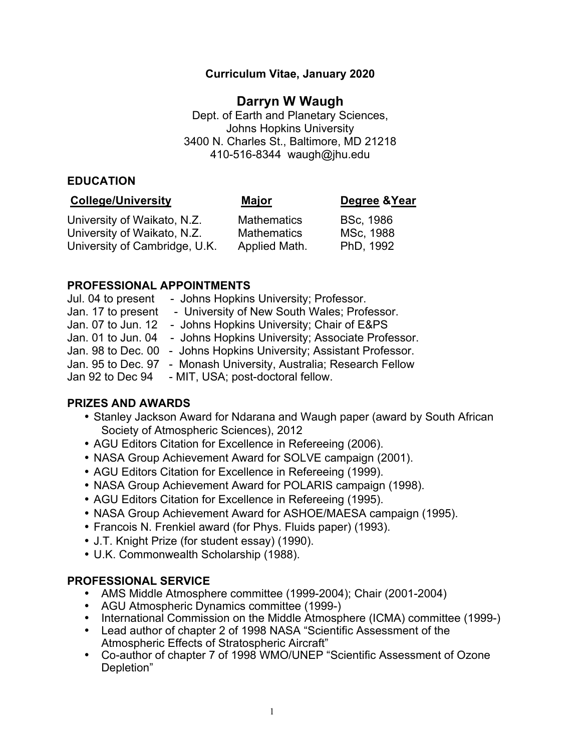### **Curriculum Vitae, January 2020**

# **Darryn W Waugh**

Dept. of Earth and Planetary Sciences, Johns Hopkins University 3400 N. Charles St., Baltimore, MD 21218 410-516-8344 waugh@jhu.edu

#### **EDUCATION**

| <b>College/University</b>                                  | <u>Major</u>                             | Degree & Year                 |
|------------------------------------------------------------|------------------------------------------|-------------------------------|
| University of Waikato, N.Z.<br>University of Waikato, N.Z. | <b>Mathematics</b><br><b>Mathematics</b> | <b>BSc, 1986</b><br>MSc, 1988 |
| University of Cambridge, U.K.                              | Applied Math.                            | PhD, 1992                     |

#### **PROFESSIONAL APPOINTMENTS**

| Jul. 04 to present | - Johns Hopkins University; Professor.           |
|--------------------|--------------------------------------------------|
| Jan. 17 to present | - University of New South Wales; Professor.      |
| Jan. 07 to Jun. 12 | - Johns Hopkins University; Chair of E&PS        |
| Jan. 01 to Jun. 04 | - Johns Hopkins University; Associate Professor. |
| Jan. 98 to Dec. 00 | - Johns Hopkins University; Assistant Professor. |
| Jan. 95 to Dec. 97 | - Monash University, Australia; Research Fellow  |
| Jan 92 to Dec 94   | - MIT, USA; post-doctoral fellow.                |

### **PRIZES AND AWARDS**

- Stanley Jackson Award for Ndarana and Waugh paper (award by South African Society of Atmospheric Sciences), 2012
- AGU Editors Citation for Excellence in Refereeing (2006).
- NASA Group Achievement Award for SOLVE campaign (2001).
- AGU Editors Citation for Excellence in Refereeing (1999).
- NASA Group Achievement Award for POLARIS campaign (1998).
- AGU Editors Citation for Excellence in Refereeing (1995).
- NASA Group Achievement Award for ASHOE/MAESA campaign (1995).
- Francois N. Frenkiel award (for Phys. Fluids paper) (1993).
- J.T. Knight Prize (for student essay) (1990).
- U.K. Commonwealth Scholarship (1988).

### **PROFESSIONAL SERVICE**

- AMS Middle Atmosphere committee (1999-2004); Chair (2001-2004)
- AGU Atmospheric Dynamics committee (1999-)
- International Commission on the Middle Atmosphere (ICMA) committee (1999-)
- Lead author of chapter 2 of 1998 NASA "Scientific Assessment of the Atmospheric Effects of Stratospheric Aircraft"
- Co-author of chapter 7 of 1998 WMO/UNEP "Scientific Assessment of Ozone Depletion"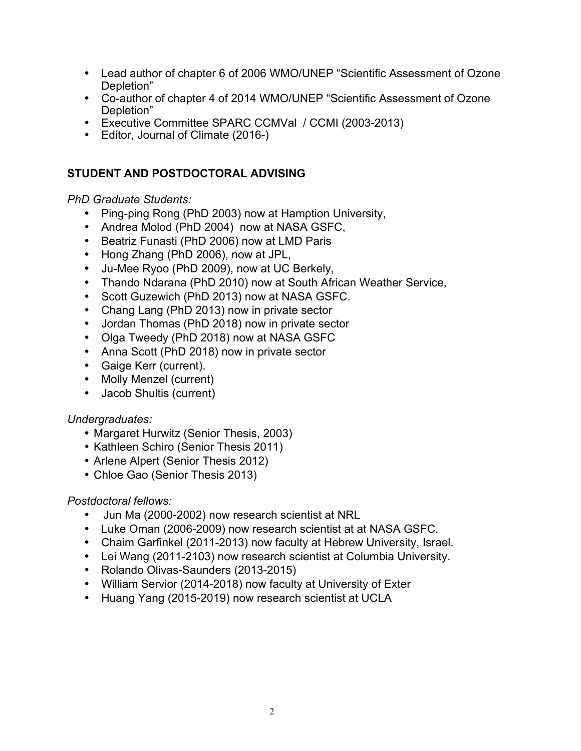- Lead author of chapter 6 of 2006 WMO/UNEP "Scientific Assessment of Ozone Depletion"
- Co-author of chapter 4 of 2014 WMO/UNEP "Scientific Assessment of Ozone Depletion"
- Executive Committee SPARC CCMVal / CCMI (2003-2013)
- Editor, Journal of Climate (2016-)

## **STUDENT AND POSTDOCTORAL ADVISING**

### *PhD Graduate Students:*

- Ping-ping Rong (PhD 2003) now at Hamption University,
- Andrea Molod (PhD 2004) now at NASA GSFC,
- Beatriz Funasti (PhD 2006) now at LMD Paris
- Hong Zhang (PhD 2006), now at JPL,
- Ju-Mee Ryoo (PhD 2009), now at UC Berkely,
- Thando Ndarana (PhD 2010) now at South African Weather Service,
- Scott Guzewich (PhD 2013) now at NASA GSFC.
- Chang Lang (PhD 2013) now in private sector
- Jordan Thomas (PhD 2018) now in private sector
- Olga Tweedy (PhD 2018) now at NASA GSFC
- Anna Scott (PhD 2018) now in private sector
- Gaige Kerr (current).
- Molly Menzel (current)
- Jacob Shultis (current)

### *Undergraduates:*

- Margaret Hurwitz (Senior Thesis, 2003)
- Kathleen Schiro (Senior Thesis 2011)
- Arlene Alpert (Senior Thesis 2012)
- Chloe Gao (Senior Thesis 2013)

### *Postdoctoral fellows:*

- Jun Ma (2000-2002) now research scientist at NRL
- Luke Oman (2006-2009) now research scientist at at NASA GSFC.
- Chaim Garfinkel (2011-2013) now faculty at Hebrew University, Israel.
- Lei Wang (2011-2103) now research scientist at Columbia University.
- Rolando Olivas-Saunders (2013-2015)
- William Servior (2014-2018) now faculty at University of Exter
- Huang Yang (2015-2019) now research scientist at UCLA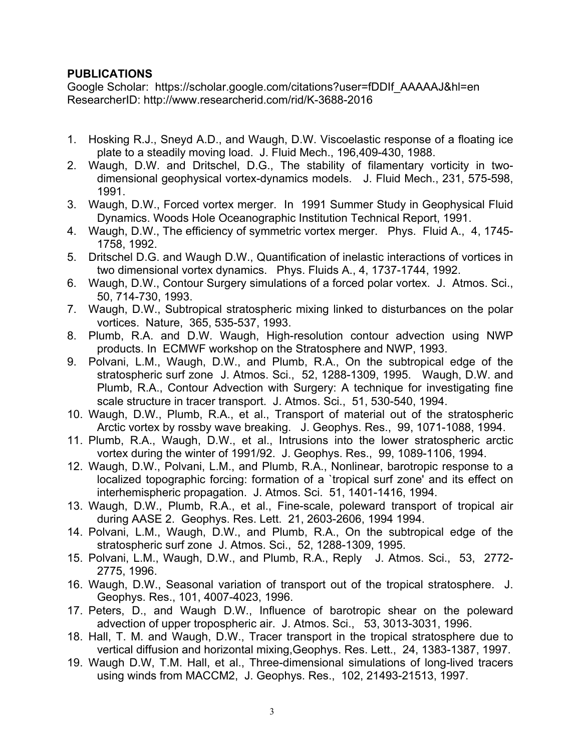### **PUBLICATIONS**

Google Scholar: https://scholar.google.com/citations?user=fDDIf\_AAAAAJ&hl=en ResearcherID: http://www.researcherid.com/rid/K-3688-2016

- 1. Hosking R.J., Sneyd A.D., and Waugh, D.W. Viscoelastic response of a floating ice plate to a steadily moving load. J. Fluid Mech., 196,409-430, 1988.
- 2. Waugh, D.W. and Dritschel, D.G., The stability of filamentary vorticity in twodimensional geophysical vortex-dynamics models. J. Fluid Mech., 231, 575-598, 1991.
- 3. Waugh, D.W., Forced vortex merger. In 1991 Summer Study in Geophysical Fluid Dynamics. Woods Hole Oceanographic Institution Technical Report, 1991.
- 4. Waugh, D.W., The efficiency of symmetric vortex merger. Phys. Fluid A., 4, 1745- 1758, 1992.
- 5. Dritschel D.G. and Waugh D.W., Quantification of inelastic interactions of vortices in two dimensional vortex dynamics. Phys. Fluids A., 4, 1737-1744, 1992.
- 6. Waugh, D.W., Contour Surgery simulations of a forced polar vortex. J. Atmos. Sci., 50, 714-730, 1993.
- 7. Waugh, D.W., Subtropical stratospheric mixing linked to disturbances on the polar vortices. Nature, 365, 535-537, 1993.
- 8. Plumb, R.A. and D.W. Waugh, High-resolution contour advection using NWP products. In ECMWF workshop on the Stratosphere and NWP, 1993.
- 9. Polvani, L.M., Waugh, D.W., and Plumb, R.A., On the subtropical edge of the stratospheric surf zone J. Atmos. Sci., 52, 1288-1309, 1995. Waugh, D.W. and Plumb, R.A., Contour Advection with Surgery: A technique for investigating fine scale structure in tracer transport. J. Atmos. Sci., 51, 530-540, 1994.
- 10. Waugh, D.W., Plumb, R.A., et al., Transport of material out of the stratospheric Arctic vortex by rossby wave breaking. J. Geophys. Res., 99, 1071-1088, 1994.
- 11. Plumb, R.A., Waugh, D.W., et al., Intrusions into the lower stratospheric arctic vortex during the winter of 1991/92. J. Geophys. Res., 99, 1089-1106, 1994.
- 12. Waugh, D.W., Polvani, L.M., and Plumb, R.A., Nonlinear, barotropic response to a localized topographic forcing: formation of a `tropical surf zone' and its effect on interhemispheric propagation. J. Atmos. Sci. 51, 1401-1416, 1994.
- 13. Waugh, D.W., Plumb, R.A., et al., Fine-scale, poleward transport of tropical air during AASE 2. Geophys. Res. Lett. 21, 2603-2606, 1994 1994.
- 14. Polvani, L.M., Waugh, D.W., and Plumb, R.A., On the subtropical edge of the stratospheric surf zone J. Atmos. Sci., 52, 1288-1309, 1995.
- 15. Polvani, L.M., Waugh, D.W., and Plumb, R.A., Reply J. Atmos. Sci., 53, 2772- 2775, 1996.
- 16. Waugh, D.W., Seasonal variation of transport out of the tropical stratosphere. J. Geophys. Res., 101, 4007-4023, 1996.
- 17. Peters, D., and Waugh D.W., Influence of barotropic shear on the poleward advection of upper tropospheric air. J. Atmos. Sci., 53, 3013-3031, 1996.
- 18. Hall, T. M. and Waugh, D.W., Tracer transport in the tropical stratosphere due to vertical diffusion and horizontal mixing,Geophys. Res. Lett., 24, 1383-1387, 1997.
- 19. Waugh D.W, T.M. Hall, et al., Three-dimensional simulations of long-lived tracers using winds from MACCM2, J. Geophys. Res., 102, 21493-21513, 1997.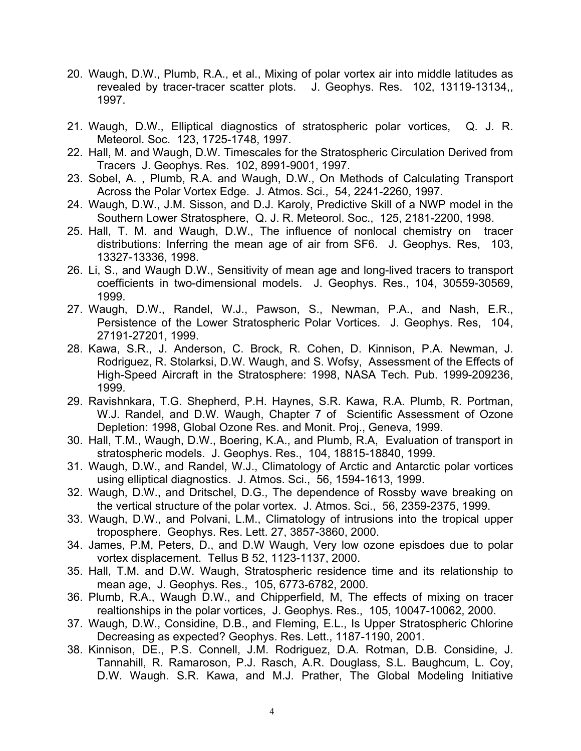- 20. Waugh, D.W., Plumb, R.A., et al., Mixing of polar vortex air into middle latitudes as revealed by tracer-tracer scatter plots. J. Geophys. Res. 102, 13119-13134,, 1997.
- 21. Waugh, D.W., Elliptical diagnostics of stratospheric polar vortices, Q. J. R. Meteorol. Soc. 123, 1725-1748, 1997.
- 22. Hall, M. and Waugh, D.W. Timescales for the Stratospheric Circulation Derived from Tracers J. Geophys. Res. 102, 8991-9001, 1997.
- 23. Sobel, A. , Plumb, R.A. and Waugh, D.W., On Methods of Calculating Transport Across the Polar Vortex Edge. J. Atmos. Sci., 54, 2241-2260, 1997.
- 24. Waugh, D.W., J.M. Sisson, and D.J. Karoly, Predictive Skill of a NWP model in the Southern Lower Stratosphere, Q. J. R. Meteorol. Soc., 125, 2181-2200, 1998.
- 25. Hall, T. M. and Waugh, D.W., The influence of nonlocal chemistry on tracer distributions: Inferring the mean age of air from SF6. J. Geophys. Res, 103, 13327-13336, 1998.
- 26. Li, S., and Waugh D.W., Sensitivity of mean age and long-lived tracers to transport coefficients in two-dimensional models. J. Geophys. Res., 104, 30559-30569, 1999.
- 27. Waugh, D.W., Randel, W.J., Pawson, S., Newman, P.A., and Nash, E.R., Persistence of the Lower Stratospheric Polar Vortices. J. Geophys. Res, 104, 27191-27201, 1999.
- 28. Kawa, S.R., J. Anderson, C. Brock, R. Cohen, D. Kinnison, P.A. Newman, J. Rodriguez, R. Stolarksi, D.W. Waugh, and S. Wofsy, Assessment of the Effects of High-Speed Aircraft in the Stratosphere: 1998, NASA Tech. Pub. 1999-209236, 1999.
- 29. Ravishnkara, T.G. Shepherd, P.H. Haynes, S.R. Kawa, R.A. Plumb, R. Portman, W.J. Randel, and D.W. Waugh, Chapter 7 of Scientific Assessment of Ozone Depletion: 1998, Global Ozone Res. and Monit. Proj., Geneva, 1999.
- 30. Hall, T.M., Waugh, D.W., Boering, K.A., and Plumb, R.A, Evaluation of transport in stratospheric models. J. Geophys. Res., 104, 18815-18840, 1999.
- 31. Waugh, D.W., and Randel, W.J., Climatology of Arctic and Antarctic polar vortices using elliptical diagnostics. J. Atmos. Sci., 56, 1594-1613, 1999.
- 32. Waugh, D.W., and Dritschel, D.G., The dependence of Rossby wave breaking on the vertical structure of the polar vortex. J. Atmos. Sci., 56, 2359-2375, 1999.
- 33. Waugh, D.W., and Polvani, L.M., Climatology of intrusions into the tropical upper troposphere. Geophys. Res. Lett. 27, 3857-3860, 2000.
- 34. James, P.M, Peters, D., and D.W Waugh, Very low ozone episdoes due to polar vortex displacement. Tellus B 52, 1123-1137, 2000.
- 35. Hall, T.M. and D.W. Waugh, Stratospheric residence time and its relationship to mean age, J. Geophys. Res., 105, 6773-6782, 2000.
- 36. Plumb, R.A., Waugh D.W., and Chipperfield, M, The effects of mixing on tracer realtionships in the polar vortices, J. Geophys. Res., 105, 10047-10062, 2000.
- 37. Waugh, D.W., Considine, D.B., and Fleming, E.L., Is Upper Stratospheric Chlorine Decreasing as expected? Geophys. Res. Lett., 1187-1190, 2001.
- 38. Kinnison, DE., P.S. Connell, J.M. Rodriguez, D.A. Rotman, D.B. Considine, J. Tannahill, R. Ramaroson, P.J. Rasch, A.R. Douglass, S.L. Baughcum, L. Coy, D.W. Waugh. S.R. Kawa, and M.J. Prather, The Global Modeling Initiative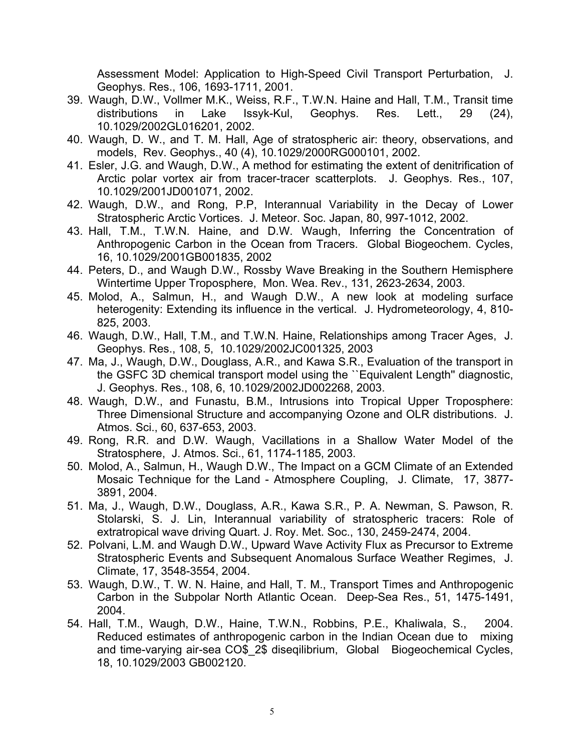Assessment Model: Application to High-Speed Civil Transport Perturbation, J. Geophys. Res., 106, 1693-1711, 2001.

- 39. Waugh, D.W., Vollmer M.K., Weiss, R.F., T.W.N. Haine and Hall, T.M., Transit time distributions in Lake Issyk-Kul, Geophys. Res. Lett., 29 (24), 10.1029/2002GL016201, 2002.
- 40. Waugh, D. W., and T. M. Hall, Age of stratospheric air: theory, observations, and models, Rev. Geophys., 40 (4), 10.1029/2000RG000101, 2002.
- 41. Esler, J.G. and Waugh, D.W., A method for estimating the extent of denitrification of Arctic polar vortex air from tracer-tracer scatterplots. J. Geophys. Res., 107, 10.1029/2001JD001071, 2002.
- 42. Waugh, D.W., and Rong, P.P, Interannual Variability in the Decay of Lower Stratospheric Arctic Vortices. J. Meteor. Soc. Japan, 80, 997-1012, 2002.
- 43. Hall, T.M., T.W.N. Haine, and D.W. Waugh, Inferring the Concentration of Anthropogenic Carbon in the Ocean from Tracers. Global Biogeochem. Cycles, 16, 10.1029/2001GB001835, 2002
- 44. Peters, D., and Waugh D.W., Rossby Wave Breaking in the Southern Hemisphere Wintertime Upper Troposphere, Mon. Wea. Rev., 131, 2623-2634, 2003.
- 45. Molod, A., Salmun, H., and Waugh D.W., A new look at modeling surface heterogenity: Extending its influence in the vertical. J. Hydrometeorology, 4, 810- 825, 2003.
- 46. Waugh, D.W., Hall, T.M., and T.W.N. Haine, Relationships among Tracer Ages, J. Geophys. Res., 108, 5, 10.1029/2002JC001325, 2003
- 47. Ma, J., Waugh, D.W., Douglass, A.R., and Kawa S.R., Evaluation of the transport in the GSFC 3D chemical transport model using the ``Equivalent Length'' diagnostic, J. Geophys. Res., 108, 6, 10.1029/2002JD002268, 2003.
- 48. Waugh, D.W., and Funastu, B.M., Intrusions into Tropical Upper Troposphere: Three Dimensional Structure and accompanying Ozone and OLR distributions. J. Atmos. Sci., 60, 637-653, 2003.
- 49. Rong, R.R. and D.W. Waugh, Vacillations in a Shallow Water Model of the Stratosphere, J. Atmos. Sci., 61, 1174-1185, 2003.
- 50. Molod, A., Salmun, H., Waugh D.W., The Impact on a GCM Climate of an Extended Mosaic Technique for the Land - Atmosphere Coupling, J. Climate, 17, 3877- 3891, 2004.
- 51. Ma, J., Waugh, D.W., Douglass, A.R., Kawa S.R., P. A. Newman, S. Pawson, R. Stolarski, S. J. Lin, Interannual variability of stratospheric tracers: Role of extratropical wave driving Quart. J. Roy. Met. Soc., 130, 2459-2474, 2004.
- 52. Polvani, L.M. and Waugh D.W., Upward Wave Activity Flux as Precursor to Extreme Stratospheric Events and Subsequent Anomalous Surface Weather Regimes, J. Climate, 17, 3548-3554, 2004.
- 53. Waugh, D.W., T. W. N. Haine, and Hall, T. M., Transport Times and Anthropogenic Carbon in the Subpolar North Atlantic Ocean. Deep-Sea Res., 51, 1475-1491, 2004.
- 54. Hall, T.M., Waugh, D.W., Haine, T.W.N., Robbins, P.E., Khaliwala, S., 2004. Reduced estimates of anthropogenic carbon in the Indian Ocean due to mixing and time-varying air-sea CO\$\_2\$ diseqilibrium, Global Biogeochemical Cycles, 18, 10.1029/2003 GB002120.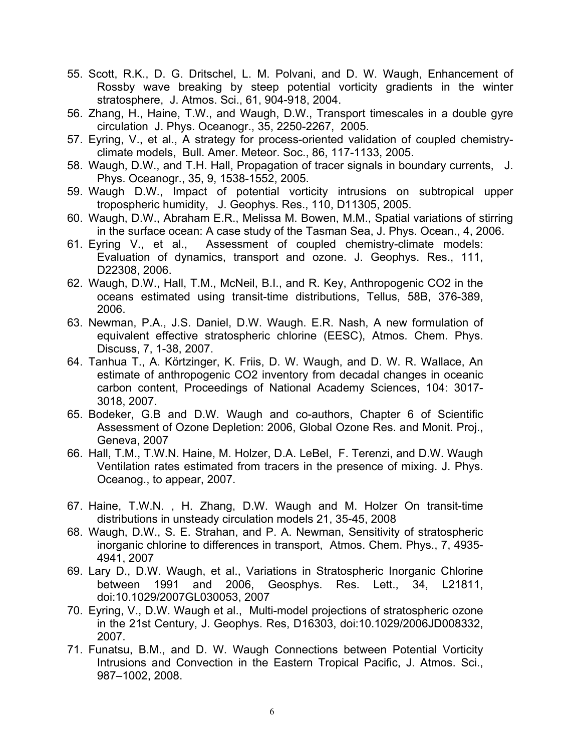- 55. Scott, R.K., D. G. Dritschel, L. M. Polvani, and D. W. Waugh, Enhancement of Rossby wave breaking by steep potential vorticity gradients in the winter stratosphere, J. Atmos. Sci., 61, 904-918, 2004.
- 56. Zhang, H., Haine, T.W., and Waugh, D.W., Transport timescales in a double gyre circulation J. Phys. Oceanogr., 35, 2250-2267, 2005.
- 57. Eyring, V., et al., A strategy for process-oriented validation of coupled chemistryclimate models, Bull. Amer. Meteor. Soc., 86, 117-1133, 2005.
- 58. Waugh, D.W., and T.H. Hall, Propagation of tracer signals in boundary currents, J. Phys. Oceanogr., 35, 9, 1538-1552, 2005.
- 59. Waugh D.W., Impact of potential vorticity intrusions on subtropical upper tropospheric humidity, J. Geophys. Res., 110, D11305, 2005.
- 60. Waugh, D.W., Abraham E.R., Melissa M. Bowen, M.M., Spatial variations of stirring in the surface ocean: A case study of the Tasman Sea, J. Phys. Ocean., 4, 2006.
- 61. Eyring V., et al., Assessment of coupled chemistry-climate models: Evaluation of dynamics, transport and ozone. J. Geophys. Res., 111, D22308, 2006.
- 62. Waugh, D.W., Hall, T.M., McNeil, B.I., and R. Key, Anthropogenic CO2 in the oceans estimated using transit-time distributions, Tellus, 58B, 376-389, 2006.
- 63. Newman, P.A., J.S. Daniel, D.W. Waugh. E.R. Nash, A new formulation of equivalent effective stratospheric chlorine (EESC), Atmos. Chem. Phys. Discuss, 7, 1-38, 2007.
- 64. Tanhua T., A. Körtzinger, K. Friis, D. W. Waugh, and D. W. R. Wallace, An estimate of anthropogenic CO2 inventory from decadal changes in oceanic carbon content, Proceedings of National Academy Sciences, 104: 3017- 3018, 2007.
- 65. Bodeker, G.B and D.W. Waugh and co-authors, Chapter 6 of Scientific Assessment of Ozone Depletion: 2006, Global Ozone Res. and Monit. Proj., Geneva, 2007
- 66. Hall, T.M., T.W.N. Haine, M. Holzer, D.A. LeBel, F. Terenzi, and D.W. Waugh Ventilation rates estimated from tracers in the presence of mixing. J. Phys. Oceanog., to appear, 2007.
- 67. Haine, T.W.N. , H. Zhang, D.W. Waugh and M. Holzer On transit-time distributions in unsteady circulation models 21, 35-45, 2008
- 68. Waugh, D.W., S. E. Strahan, and P. A. Newman, Sensitivity of stratospheric inorganic chlorine to differences in transport, Atmos. Chem. Phys., 7, 4935- 4941, 2007
- 69. Lary D., D.W. Waugh, et al., Variations in Stratospheric Inorganic Chlorine between 1991 and 2006, Geosphys. Res. Lett., 34, L21811, doi:10.1029/2007GL030053, 2007
- 70. Eyring, V., D.W. Waugh et al., Multi-model projections of stratospheric ozone in the 21st Century, J. Geophys. Res, D16303, doi:10.1029/2006JD008332, 2007.
- 71. Funatsu, B.M., and D. W. Waugh Connections between Potential Vorticity Intrusions and Convection in the Eastern Tropical Pacific, J. Atmos. Sci., 987–1002, 2008.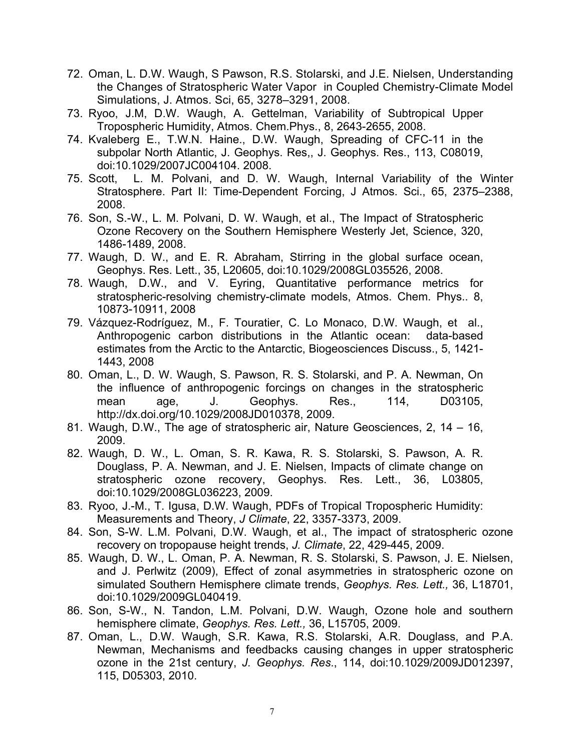- 72. Oman, L. D.W. Waugh, S Pawson, R.S. Stolarski, and J.E. Nielsen, Understanding the Changes of Stratospheric Water Vapor in Coupled Chemistry-Climate Model Simulations, J. Atmos. Sci, 65, 3278–3291, 2008.
- 73. Ryoo, J.M, D.W. Waugh, A. Gettelman, Variability of Subtropical Upper Tropospheric Humidity, Atmos. Chem.Phys., 8, 2643-2655, 2008.
- 74. Kvaleberg E., T.W.N. Haine., D.W. Waugh, Spreading of CFC-11 in the subpolar North Atlantic, J. Geophys. Res,, J. Geophys. Res., 113, C08019, doi:10.1029/2007JC004104. 2008.
- 75. Scott, L. M. Polvani, and D. W. Waugh, Internal Variability of the Winter Stratosphere. Part II: Time-Dependent Forcing, J Atmos. Sci., 65, 2375–2388, 2008.
- 76. Son, S.-W., L. M. Polvani, D. W. Waugh, et al., The Impact of Stratospheric Ozone Recovery on the Southern Hemisphere Westerly Jet, Science, 320, 1486-1489, 2008.
- 77. Waugh, D. W., and E. R. Abraham, Stirring in the global surface ocean, Geophys. Res. Lett., 35, L20605, doi:10.1029/2008GL035526, 2008.
- 78. Waugh, D.W., and V. Eyring, Quantitative performance metrics for stratospheric-resolving chemistry-climate models, Atmos. Chem. Phys.. 8, 10873-10911, 2008
- 79. Vázquez-Rodríguez, M., F. Touratier, C. Lo Monaco, D.W. Waugh, et al., Anthropogenic carbon distributions in the Atlantic ocean: data-based estimates from the Arctic to the Antarctic, Biogeosciences Discuss., 5, 1421- 1443, 2008
- 80. Oman, L., D. W. Waugh, S. Pawson, R. S. Stolarski, and P. A. Newman, On the influence of anthropogenic forcings on changes in the stratospheric mean age, J. Geophys. Res., 114, D03105, http://dx.doi.org/10.1029/2008JD010378, 2009.
- 81. Waugh, D.W., The age of stratospheric air, Nature Geosciences, 2, 14 16, 2009.
- 82. Waugh, D. W., L. Oman, S. R. Kawa, R. S. Stolarski, S. Pawson, A. R. Douglass, P. A. Newman, and J. E. Nielsen, Impacts of climate change on stratospheric ozone recovery, Geophys. Res. Lett., 36, L03805, doi:10.1029/2008GL036223, 2009.
- 83. Ryoo, J.-M., T. Igusa, D.W. Waugh, PDFs of Tropical Tropospheric Humidity: Measurements and Theory, *J Climate*, 22, 3357-3373, 2009.
- 84. Son, S-W. L.M. Polvani, D.W. Waugh, et al., The impact of stratospheric ozone recovery on tropopause height trends, *J. Climate*, 22, 429-445, 2009.
- 85. Waugh, D. W., L. Oman, P. A. Newman, R. S. Stolarski, S. Pawson, J. E. Nielsen, and J. Perlwitz (2009), Effect of zonal asymmetries in stratospheric ozone on simulated Southern Hemisphere climate trends, *Geophys. Res. Lett.,* 36, L18701, doi:10.1029/2009GL040419.
- 86. Son, S-W., N. Tandon, L.M. Polvani, D.W. Waugh, Ozone hole and southern hemisphere climate, *Geophys. Res. Lett.,* 36, L15705, 2009.
- 87. Oman, L., D.W. Waugh, S.R. Kawa, R.S. Stolarski, A.R. Douglass, and P.A. Newman, Mechanisms and feedbacks causing changes in upper stratospheric ozone in the 21st century, *J. Geophys. Res*., 114, doi:10.1029/2009JD012397, 115, D05303, 2010.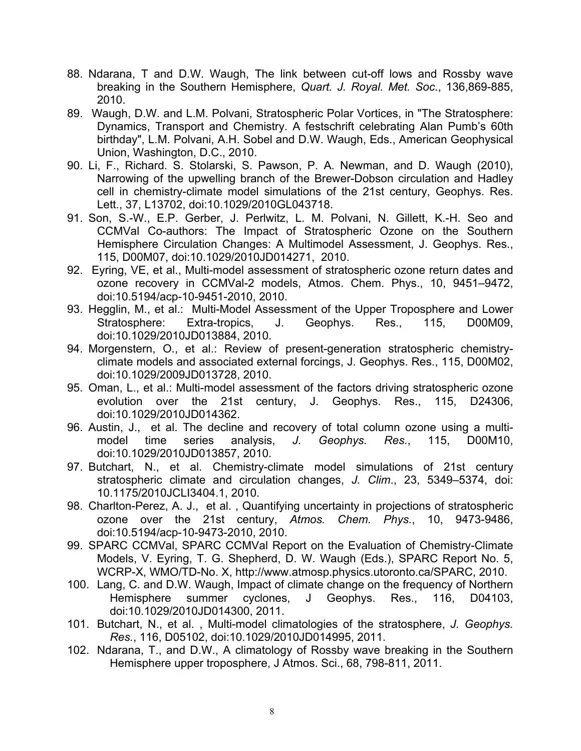- 88. Ndarana, T and D.W. Waugh, The link between cut-off lows and Rossby wave breaking in the Southern Hemisphere, *Quart. J. Royal. Met. Soc*., 136,869-885, 2010.
- 89. Waugh, D.W. and L.M. Polvani, Stratospheric Polar Vortices, in "The Stratosphere: Dynamics, Transport and Chemistry. A festschrift celebrating Alan Pumb's 60th birthday", L.M. Polvani, A.H. Sobel and D.W. Waugh, Eds., American Geophysical Union, Washington, D.C., 2010.
- 90. Li, F., Richard. S. Stolarski, S. Pawson, P. A. Newman, and D. Waugh (2010), Narrowing of the upwelling branch of the Brewer-Dobson circulation and Hadley cell in chemistry-climate model simulations of the 21st century, Geophys. Res. Lett., 37, L13702, doi:10.1029/2010GL043718.
- 91. Son, S.-W., E.P. Gerber, J. Perlwitz, L. M. Polvani, N. Gillett, K.-H. Seo and CCMVal Co-authors: The Impact of Stratospheric Ozone on the Southern Hemisphere Circulation Changes: A Multimodel Assessment, J. Geophys. Res., 115, D00M07, doi:10.1029/2010JD014271, 2010.
- 92. Eyring, VE, et al., Multi-model assessment of stratospheric ozone return dates and ozone recovery in CCMVal-2 models, Atmos. Chem. Phys., 10, 9451–9472, doi:10.5194/acp-10-9451-2010, 2010.
- 93. Hegglin, M., et al.: Multi-Model Assessment of the Upper Troposphere and Lower Stratosphere: Extra-tropics, J. Geophys. Res., 115, D00M09, doi:10.1029/2010JD013884, 2010.
- 94. Morgenstern, O., et al.: Review of present-generation stratospheric chemistryclimate models and associated external forcings, J. Geophys. Res., 115, D00M02, doi:10.1029/2009JD013728, 2010.
- 95. Oman, L., et al.: Multi-model assessment of the factors driving stratospheric ozone evolution over the 21st century, J. Geophys. Res., 115, D24306, doi:10.1029/2010JD014362.
- 96. Austin, J., et al. The decline and recovery of total column ozone using a multimodel time series analysis, *J. Geophys. Res.*, 115, D00M10, doi:10.1029/2010JD013857, 2010.
- 97. Butchart, N., et al. Chemistry-climate model simulations of 21st century stratospheric climate and circulation changes, *J. Clim*., 23, 5349–5374, doi: 10.1175/2010JCLI3404.1, 2010.
- 98. Charlton-Perez, A. J., et al. , Quantifying uncertainty in projections of stratospheric ozone over the 21st century, *Atmos. Chem. Phys.*, 10, 9473-9486, doi:10.5194/acp-10-9473-2010, 2010.
- 99. SPARC CCMVal, SPARC CCMVal Report on the Evaluation of Chemistry-Climate Models, V. Eyring, T. G. Shepherd, D. W. Waugh (Eds.), SPARC Report No. 5, WCRP-X, WMO/TD-No. X, http://www.atmosp.physics.utoronto.ca/SPARC, 2010.
- 100. Lang, C. and D.W. Waugh, Impact of climate change on the frequency of Northern Hemisphere summer cyclones, J Geophys. Res., 116, D04103, doi:10.1029/2010JD014300, 2011.
- 101. Butchart, N., et al. , Multi-model climatologies of the stratosphere, *J. Geophys. Res.*, 116, D05102, doi:10.1029/2010JD014995, 2011.
- 102. Ndarana, T., and D.W., A climatology of Rossby wave breaking in the Southern Hemisphere upper troposphere, J Atmos. Sci., 68, 798-811, 2011.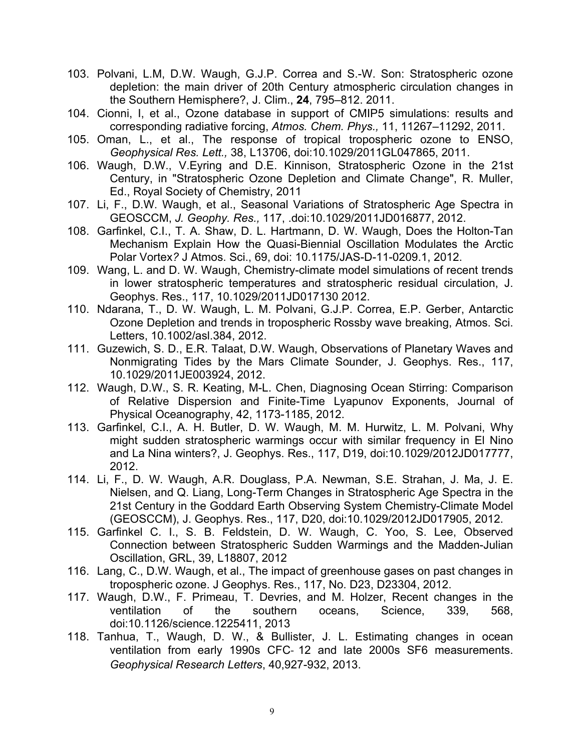- 103. Polvani, L.M, D.W. Waugh, G.J.P. Correa and S.-W. Son: Stratospheric ozone depletion: the main driver of 20th Century atmospheric circulation changes in the Southern Hemisphere?, J. Clim., **24**, 795–812. 2011.
- 104. Cionni, I, et al., Ozone database in support of CMIP5 simulations: results and corresponding radiative forcing, *Atmos. Chem. Phys.,* 11, 11267–11292, 2011.
- 105. Oman, L., et al., The response of tropical tropospheric ozone to ENSO, *Geophysical Res. Lett.,* 38, L13706, doi:10.1029/2011GL047865, 2011.
- 106. Waugh, D.W., V.Eyring and D.E. Kinnison, Stratospheric Ozone in the 21st Century, in "Stratospheric Ozone Depletion and Climate Change", R. Muller, Ed., Royal Society of Chemistry, 2011
- 107. Li, F., D.W. Waugh, et al., Seasonal Variations of Stratospheric Age Spectra in GEOSCCM, *J. Geophy. Res.,* 117, .doi:10.1029/2011JD016877, 2012.
- 108. Garfinkel, C.I., T. A. Shaw, D. L. Hartmann, D. W. Waugh, Does the Holton-Tan Mechanism Explain How the Quasi-Biennial Oscillation Modulates the Arctic Polar Vortex*?* J Atmos. Sci., 69, doi: 10.1175/JAS-D-11-0209.1, 2012.
- 109. Wang, L. and D. W. Waugh, Chemistry-climate model simulations of recent trends in lower stratospheric temperatures and stratospheric residual circulation, J. Geophys. Res., 117, 10.1029/2011JD017130 2012.
- 110. Ndarana, T., D. W. Waugh, L. M. Polvani, G.J.P. Correa, E.P. Gerber, Antarctic Ozone Depletion and trends in tropospheric Rossby wave breaking, Atmos. Sci. Letters, 10.1002/asl.384, 2012.
- 111. Guzewich, S. D., E.R. Talaat, D.W. Waugh, Observations of Planetary Waves and Nonmigrating Tides by the Mars Climate Sounder, J. Geophys. Res., 117, 10.1029/2011JE003924, 2012.
- 112. Waugh, D.W., S. R. Keating, M-L. Chen, Diagnosing Ocean Stirring: Comparison of Relative Dispersion and Finite-Time Lyapunov Exponents, Journal of Physical Oceanography, 42, 1173-1185, 2012.
- 113. Garfinkel, C.I., A. H. Butler, D. W. Waugh, M. M. Hurwitz, L. M. Polvani, Why might sudden stratospheric warmings occur with similar frequency in El Nino and La Nina winters?, J. Geophys. Res., 117, D19, doi:10.1029/2012JD017777, 2012.
- 114. Li, F., D. W. Waugh, A.R. Douglass, P.A. Newman, S.E. Strahan, J. Ma, J. E. Nielsen, and Q. Liang, Long-Term Changes in Stratospheric Age Spectra in the 21st Century in the Goddard Earth Observing System Chemistry-Climate Model (GEOSCCM), J. Geophys. Res., 117, D20, doi:10.1029/2012JD017905, 2012.
- 115. Garfinkel C. I., S. B. Feldstein, D. W. Waugh, C. Yoo, S. Lee, Observed Connection between Stratospheric Sudden Warmings and the Madden-Julian Oscillation, GRL, 39, L18807, 2012
- 116. Lang, C., D.W. Waugh, et al., The impact of greenhouse gases on past changes in tropospheric ozone. J Geophys. Res., 117, No. D23, D23304, 2012.
- 117. Waugh, D.W., F. Primeau, T. Devries, and M. Holzer, Recent changes in the ventilation of the southern oceans, Science, 339, 568, doi:10.1126/science.1225411, 2013
- 118. Tanhua, T., Waugh, D. W., & Bullister, J. L. Estimating changes in ocean ventilation from early 1990s CFC- 12 and late 2000s SF6 measurements. *Geophysical Research Letters*, 40,927-932, 2013.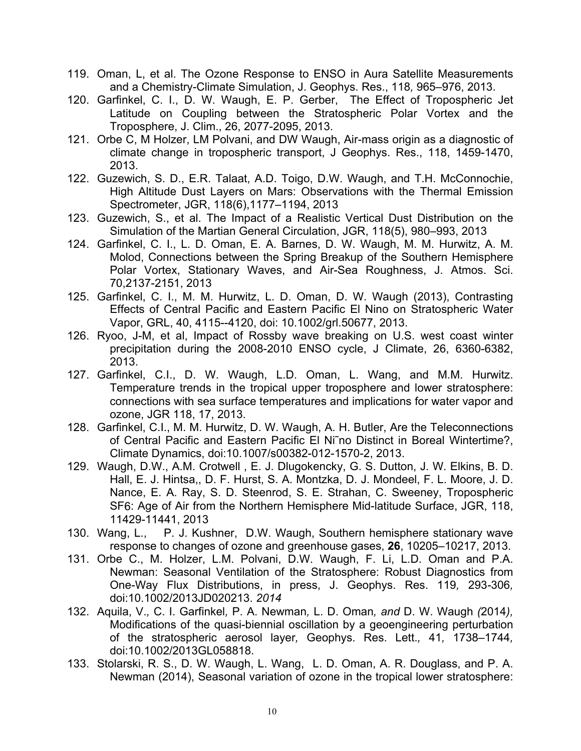- 119. Oman, L, et al. The Ozone Response to ENSO in Aura Satellite Measurements and a Chemistry-Climate Simulation, J. Geophys. Res., 118*,* 965*–*976, 2013.
- 120. Garfinkel, C. I., D. W. Waugh, E. P. Gerber, The Effect of Tropospheric Jet Latitude on Coupling between the Stratospheric Polar Vortex and the Troposphere, J. Clim., 26, 2077-2095, 2013.
- 121. Orbe C, M Holzer, LM Polvani, and DW Waugh, Air-mass origin as a diagnostic of climate change in tropospheric transport, J Geophys. Res., 118, 1459-1470, 2013.
- 122. Guzewich, S. D., E.R. Talaat, A.D. Toigo, D.W. Waugh, and T.H. McConnochie, High Altitude Dust Layers on Mars: Observations with the Thermal Emission Spectrometer, JGR, 118(6),1177–1194, 2013
- 123. Guzewich, S., et al. The Impact of a Realistic Vertical Dust Distribution on the Simulation of the Martian General Circulation, JGR, 118(5), 980–993, 2013
- 124. Garfinkel, C. I., L. D. Oman, E. A. Barnes, D. W. Waugh, M. M. Hurwitz, A. M. Molod, Connections between the Spring Breakup of the Southern Hemisphere Polar Vortex, Stationary Waves, and Air-Sea Roughness, J. Atmos. Sci. 70,2137-2151, 2013
- 125. Garfinkel, C. I., M. M. Hurwitz, L. D. Oman, D. W. Waugh (2013), Contrasting Effects of Central Pacific and Eastern Pacific El Nino on Stratospheric Water Vapor, GRL, 40, 4115--4120, doi: 10.1002/grl.50677, 2013.
- 126. Ryoo, J-M, et al, Impact of Rossby wave breaking on U.S. west coast winter precipitation during the 2008-2010 ENSO cycle, J Climate, 26, 6360-6382, 2013.
- 127. Garfinkel, C.I., D. W. Waugh, L.D. Oman, L. Wang, and M.M. Hurwitz. Temperature trends in the tropical upper troposphere and lower stratosphere: connections with sea surface temperatures and implications for water vapor and ozone, JGR 118, 17, 2013.
- 128. Garfinkel, C.I., M. M. Hurwitz, D. W. Waugh, A. H. Butler, Are the Teleconnections of Central Pacific and Eastern Pacific El Ni˜no Distinct in Boreal Wintertime?, Climate Dynamics, doi:10.1007/s00382-012-1570-2, 2013.
- 129. Waugh, D.W., A.M. Crotwell , E. J. Dlugokencky, G. S. Dutton, J. W. Elkins, B. D. Hall, E. J. Hintsa,, D. F. Hurst, S. A. Montzka, D. J. Mondeel, F. L. Moore, J. D. Nance, E. A. Ray, S. D. Steenrod, S. E. Strahan, C. Sweeney, Tropospheric SF6: Age of Air from the Northern Hemisphere Mid-latitude Surface, JGR, 118, 11429-11441, 2013
- 130. Wang, L., P. J. Kushner, D.W. Waugh, Southern hemisphere stationary wave response to changes of ozone and greenhouse gases, **26**, 10205–10217, 2013.
- 131. Orbe C., M. Holzer, L.M. Polvani, D.W. Waugh, F. Li, L.D. Oman and P.A. Newman: Seasonal Ventilation of the Stratosphere: Robust Diagnostics from One-Way Flux Distributions, in press, J. Geophys. Res. 119*,* 293*-*306*,*  doi:10.1002/2013JD020213. *2014*
- 132. Aquila, V.*,* C. I. Garfinkel*,* P. A. Newman*,* L. D. Oman*, and* D. W. Waugh *(*2014*),*  Modifications of the quasi-biennial oscillation by a geoengineering perturbation of the stratospheric aerosol layer*,* Geophys. Res. Lett.*,* 41*,* 1738*–*1744*,*  doi:10.1002/2013GL058818.
- 133. Stolarski, R. S., D. W. Waugh, L. Wang, L. D. Oman, A. R. Douglass, and P. A. Newman (2014), Seasonal variation of ozone in the tropical lower stratosphere: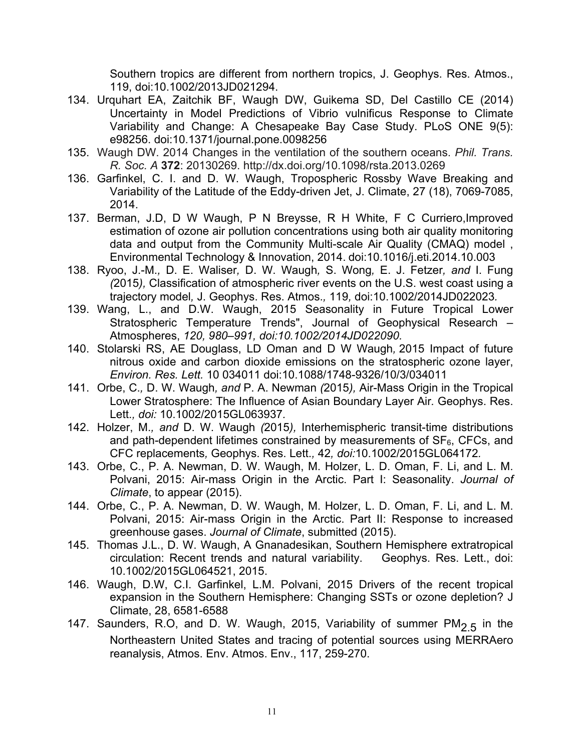Southern tropics are different from northern tropics, J. Geophys. Res. Atmos., 119, doi:10.1002/2013JD021294.

- 134. Urquhart EA, Zaitchik BF, Waugh DW, Guikema SD, Del Castillo CE (2014) Uncertainty in Model Predictions of Vibrio vulnificus Response to Climate Variability and Change: A Chesapeake Bay Case Study. PLoS ONE 9(5): e98256. doi:10.1371/journal.pone.0098256
- 135. Waugh DW. 2014 Changes in the ventilation of the southern oceans. *Phil. Trans. R. Soc. A* **372**: 20130269. http://dx.doi.org/10.1098/rsta.2013.0269
- 136. Garfinkel, C. I. and D. W. Waugh, Tropospheric Rossby Wave Breaking and Variability of the Latitude of the Eddy-driven Jet, J. Climate, 27 (18), 7069-7085, 2014.
- 137. Berman, J.D, D W Waugh, P N Breysse, R H White, F C Curriero,Improved estimation of ozone air pollution concentrations using both air quality monitoring data and output from the Community Multi-scale Air Quality (CMAQ) model , Environmental Technology & Innovation, 2014. doi:10.1016/j.eti.2014.10.003
- 138. Ryoo, J.-M.*,* D. E. Waliser*,* D. W. Waugh*,* S. Wong*,* E. J. Fetzer*, and* I. Fung *(*2015*),* Classification of atmospheric river events on the U.S. west coast using a trajectory model*,* J. Geophys. Res. Atmos.*,* 119*,* doi:10.1002/2014JD022023*.*
- 139. Wang, L., and D.W. Waugh, 2015 Seasonality in Future Tropical Lower Stratospheric Temperature Trends", Journal of Geophysical Research – Atmospheres, *120, 980–991, doi:10.1002/2014JD022090.*
- 140. Stolarski RS, AE Douglass, LD Oman and D W Waugh*,* 2015 Impact of future nitrous oxide and carbon dioxide emissions on the stratospheric ozone layer, *Environ. Res. Lett.* 10 034011 doi:10.1088/1748-9326/10/3/034011
- 141. Orbe, C.*,* D. W. Waugh*, and* P. A. Newman *(*2015*),* Air-Mass Origin in the Tropical Lower Stratosphere: The Influence of Asian Boundary Layer Air*.* Geophys. Res. Lett.*, doi:* 10.1002/2015GL063937*.*
- 142. Holzer, M.*, and* D. W. Waugh *(*2015*),* Interhemispheric transit-time distributions and path-dependent lifetimes constrained by measurements of  $SF<sub>6</sub>$ , CFCs, and CFC replacements*,* Geophys. Res. Lett.*,* 42*, doi:*10.1002/2015GL064172*.*
- 143. Orbe, C., P. A. Newman, D. W. Waugh, M. Holzer, L. D. Oman, F. Li, and L. M. Polvani, 2015: Air-mass Origin in the Arctic. Part I: Seasonality. *Journal of Climate*, to appear (2015).
- 144. Orbe, C., P. A. Newman, D. W. Waugh, M. Holzer, L. D. Oman, F. Li, and L. M. Polvani, 2015: Air-mass Origin in the Arctic. Part II: Response to increased greenhouse gases. *Journal of Climate*, submitted (2015).
- 145. Thomas J.L., D. W. Waugh, A Gnanadesikan, Southern Hemisphere extratropical circulation: Recent trends and natural variability. Geophys. Res. Lett., doi: 10.1002/2015GL064521, 2015.
- 146. Waugh, D.W, C.I. Garfinkel, L.M. Polvani, 2015 Drivers of the recent tropical expansion in the Southern Hemisphere: Changing SSTs or ozone depletion? J Climate, 28, 6581-6588
- 147. Saunders, R.O, and D. W. Waugh, 2015, Variability of summer  $PM<sub>2.5</sub>$  in the Northeastern United States and tracing of potential sources using MERRAero reanalysis, Atmos. Env. Atmos. Env., 117, 259-270.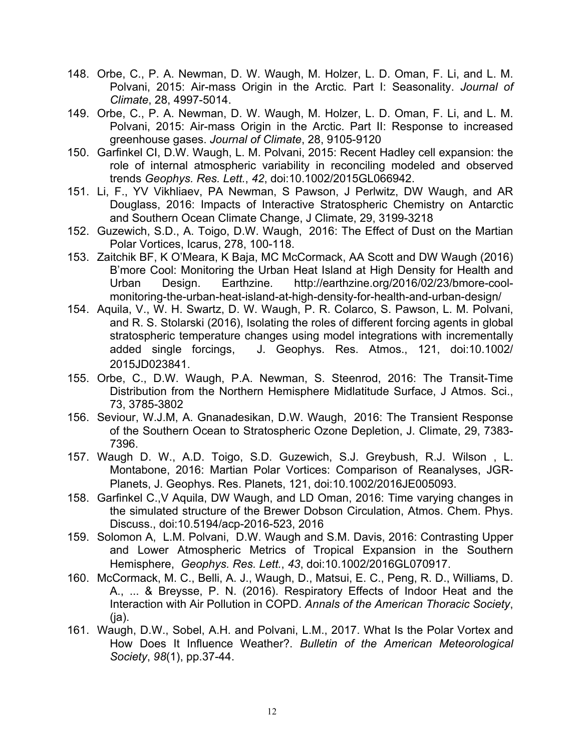- 148. Orbe, C., P. A. Newman, D. W. Waugh, M. Holzer, L. D. Oman, F. Li, and L. M. Polvani, 2015: Air-mass Origin in the Arctic. Part I: Seasonality. *Journal of Climate*, 28, 4997-5014.
- 149. Orbe, C., P. A. Newman, D. W. Waugh, M. Holzer, L. D. Oman, F. Li, and L. M. Polvani, 2015: Air-mass Origin in the Arctic. Part II: Response to increased greenhouse gases. *Journal of Climate*, 28, 9105-9120
- 150. Garfinkel CI, D.W. Waugh, L. M. Polvani, 2015: Recent Hadley cell expansion: the role of internal atmospheric variability in reconciling modeled and observed trends *Geophys. Res. Lett.*, *42*, doi:10.1002/2015GL066942.
- 151. Li, F., YV Vikhliaev, PA Newman, S Pawson, J Perlwitz, DW Waugh, and AR Douglass, 2016: Impacts of Interactive Stratospheric Chemistry on Antarctic and Southern Ocean Climate Change, J Climate, 29, 3199-3218
- 152. Guzewich, S.D., A. Toigo, D.W. Waugh, 2016: The Effect of Dust on the Martian Polar Vortices, Icarus, 278, 100-118.
- 153. Zaitchik BF, K O'Meara, K Baja, MC McCormack, AA Scott and DW Waugh (2016) B'more Cool: Monitoring the Urban Heat Island at High Density for Health and Urban Design. Earthzine. http://earthzine.org/2016/02/23/bmore-coolmonitoring-the-urban-heat-island-at-high-density-for-health-and-urban-design/
- 154. Aquila, V., W. H. Swartz, D. W. Waugh, P. R. Colarco, S. Pawson, L. M. Polvani, and R. S. Stolarski (2016), Isolating the roles of different forcing agents in global stratospheric temperature changes using model integrations with incrementally added single forcings, J. Geophys. Res. Atmos., 121, doi:10.1002/ 2015JD023841.
- 155. Orbe, C., D.W. Waugh, P.A. Newman, S. Steenrod, 2016: The Transit-Time Distribution from the Northern Hemisphere Midlatitude Surface, J Atmos. Sci., 73, 3785-3802
- 156. Seviour, W.J.M, A. Gnanadesikan, D.W. Waugh, 2016: The Transient Response of the Southern Ocean to Stratospheric Ozone Depletion, J. Climate, 29, 7383- 7396.
- 157. Waugh D. W., A.D. Toigo, S.D. Guzewich, S.J. Greybush, R.J. Wilson , L. Montabone, 2016: Martian Polar Vortices: Comparison of Reanalyses, JGR-Planets, J. Geophys. Res. Planets, 121, doi:10.1002/2016JE005093.
- 158. Garfinkel C.,V Aquila, DW Waugh, and LD Oman, 2016: Time varying changes in the simulated structure of the Brewer Dobson Circulation, Atmos. Chem. Phys. Discuss., doi:10.5194/acp-2016-523, 2016
- 159. Solomon A, L.M. Polvani, D.W. Waugh and S.M. Davis, 2016: Contrasting Upper and Lower Atmospheric Metrics of Tropical Expansion in the Southern Hemisphere, *Geophys. Res. Lett.*, *43*, doi:10.1002/2016GL070917.
- 160. McCormack, M. C., Belli, A. J., Waugh, D., Matsui, E. C., Peng, R. D., Williams, D. A., ... & Breysse, P. N. (2016). Respiratory Effects of Indoor Heat and the Interaction with Air Pollution in COPD. *Annals of the American Thoracic Society*,  $(ia)$ .
- 161. Waugh, D.W., Sobel, A.H. and Polvani, L.M., 2017. What Is the Polar Vortex and How Does It Influence Weather?. *Bulletin of the American Meteorological Society*, *98*(1), pp.37-44.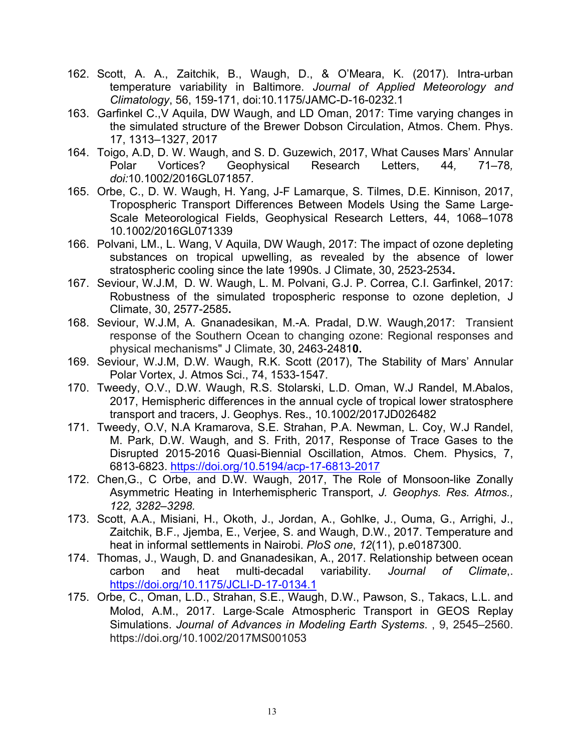- 162. Scott, A. A., Zaitchik, B., Waugh, D., & O'Meara, K. (2017). Intra-urban temperature variability in Baltimore. *Journal of Applied Meteorology and Climatology*, 56, 159-171, doi:10.1175/JAMC-D-16-0232.1
- 163. Garfinkel C.,V Aquila, DW Waugh, and LD Oman, 2017: Time varying changes in the simulated structure of the Brewer Dobson Circulation, Atmos. Chem. Phys. 17, 1313–1327, 2017
- 164. Toigo, A.D, D. W. Waugh, and S. D. Guzewich, 2017, What Causes Mars' Annular Polar Vortices? Geophysical Research Letters, 44*,* 71*–*78*, doi:*10.1002/2016GL071857*.*
- 165. Orbe, C., D. W. Waugh, H. Yang, J-F Lamarque, S. Tilmes, D.E. Kinnison, 2017, Tropospheric Transport Differences Between Models Using the Same Large-Scale Meteorological Fields, Geophysical Research Letters, 44, 1068–1078 10.1002/2016GL071339
- 166. Polvani, LM., L. Wang, V Aquila, DW Waugh, 2017: The impact of ozone depleting substances on tropical upwelling, as revealed by the absence of lower stratospheric cooling since the late 1990s. J Climate, 30, 2523-2534**.**
- 167. Seviour, W.J.M, D. W. Waugh, L. M. Polvani, G.J. P. Correa, C.I. Garfinkel, 2017: Robustness of the simulated tropospheric response to ozone depletion, J Climate, 30, 2577-2585**.**
- 168. Seviour, W.J.M, A. Gnanadesikan, M.-A. Pradal, D.W. Waugh,2017: Transient response of the Southern Ocean to changing ozone: Regional responses and physical mechanisms" J Climate, 30, 2463-2481**0.**
- 169. Seviour, W.J.M, D.W. Waugh, R.K. Scott (2017), The Stability of Mars' Annular Polar Vortex, J. Atmos Sci., 74, 1533-1547.
- 170. Tweedy, O.V., D.W. Waugh, R.S. Stolarski, L.D. Oman, W.J Randel, M.Abalos, 2017, Hemispheric differences in the annual cycle of tropical lower stratosphere transport and tracers, J. Geophys. Res., 10.1002/2017JD026482
- 171. Tweedy, O.V, N.A Kramarova, S.E. Strahan, P.A. Newman, L. Coy, W.J Randel, M. Park, D.W. Waugh, and S. Frith, 2017, Response of Trace Gases to the Disrupted 2015-2016 Quasi-Biennial Oscillation, Atmos. Chem. Physics, 7, 6813-6823. https://doi.org/10.5194/acp-17-6813-2017
- 172. Chen,G., C Orbe, and D.W. Waugh, 2017, The Role of Monsoon-like Zonally Asymmetric Heating in Interhemispheric Transport, *J. Geophys. Res. Atmos., 122, 3282–3298.*
- 173. Scott, A.A., Misiani, H., Okoth, J., Jordan, A., Gohlke, J., Ouma, G., Arrighi, J., Zaitchik, B.F., Jjemba, E., Verjee, S. and Waugh, D.W., 2017. Temperature and heat in informal settlements in Nairobi. *PloS one*, *12*(11), p.e0187300.
- 174. Thomas, J., Waugh, D. and Gnanadesikan, A., 2017. Relationship between ocean carbon and heat multi-decadal variability. *Journal of Climate*,. https://doi.org/10.1175/JCLI-D-17-0134.1
- 175. Orbe, C., Oman, L.D., Strahan, S.E., Waugh, D.W., Pawson, S., Takacs, L.L. and Molod, A.M., 2017. Large-Scale Atmospheric Transport in GEOS Replay Simulations. *Journal of Advances in Modeling Earth Systems*. , 9, 2545–2560. https://doi.org/10.1002/2017MS001053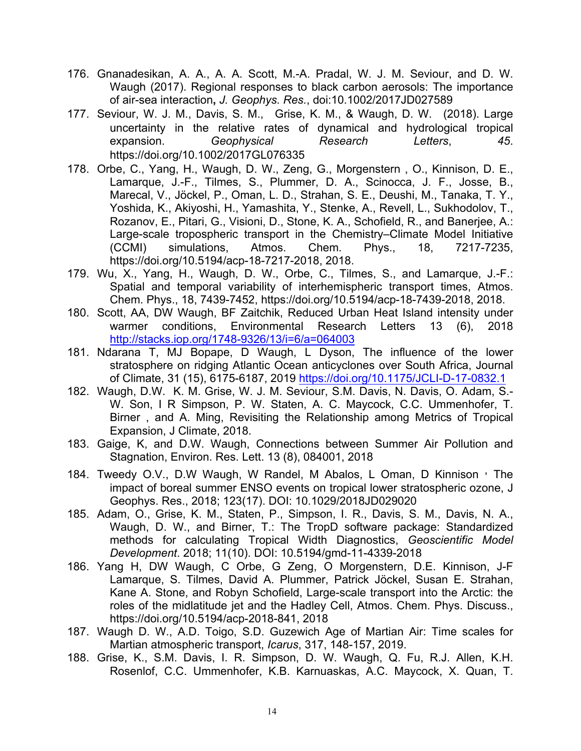- 176. Gnanadesikan, A. A., A. A. Scott, M.-A. Pradal, W. J. M. Seviour, and D. W. Waugh (2017). Regional responses to black carbon aerosols: The importance of air-sea interaction**,** *J. Geophys. Res.*, doi:10.1002/2017JD027589
- 177. Seviour, W. J. M., Davis, S. M., Grise, K. M., & Waugh, D. W. (2018). Large uncertainty in the relative rates of dynamical and hydrological tropical expansion. *Geophysical Research Letters*, *45*. https://doi.org/10.1002/2017GL076335
- 178. Orbe, C., Yang, H., Waugh, D. W., Zeng, G., Morgenstern , O., Kinnison, D. E., Lamarque, J.-F., Tilmes, S., Plummer, D. A., Scinocca, J. F., Josse, B., Marecal, V., Jöckel, P., Oman, L. D., Strahan, S. E., Deushi, M., Tanaka, T. Y., Yoshida, K., Akiyoshi, H., Yamashita, Y., Stenke, A., Revell, L., Sukhodolov, T., Rozanov, E., Pitari, G., Visioni, D., Stone, K. A., Schofield, R., and Banerjee, A.: Large-scale tropospheric transport in the Chemistry–Climate Model Initiative (CCMI) simulations, Atmos. Chem. Phys., 18, 7217-7235, https://doi.org/10.5194/acp-18-7217-2018, 2018.
- 179. Wu, X., Yang, H., Waugh, D. W., Orbe, C., Tilmes, S., and Lamarque, J.-F.: Spatial and temporal variability of interhemispheric transport times, Atmos. Chem. Phys., 18, 7439-7452, https://doi.org/10.5194/acp-18-7439-2018, 2018.
- 180. Scott, AA, DW Waugh, BF Zaitchik, Reduced Urban Heat Island intensity under warmer conditions, Environmental Research Letters 13 (6), 2018 http://stacks.iop.org/1748-9326/13/i=6/a=064003
- 181. Ndarana T, MJ Bopape, D Waugh, L Dyson, The influence of the lower stratosphere on ridging Atlantic Ocean anticyclones over South Africa, Journal of Climate, 31 (15), 6175-6187, 2019 https://doi.org/10.1175/JCLI-D-17-0832.1
- 182. Waugh, D.W. K. M. Grise, W. J. M. Seviour, S.M. Davis, N. Davis, O. Adam, S.- W. Son, I R Simpson, P. W. Staten, A. C. Maycock, C.C. Ummenhofer, T. Birner , and A. Ming, Revisiting the Relationship among Metrics of Tropical Expansion, J Climate, 2018.
- 183. Gaige, K, and D.W. Waugh, Connections between Summer Air Pollution and Stagnation, Environ. Res. Lett. 13 (8), 084001, 2018
- 184. Tweedy O.V., D.W Waugh, W Randel, M Abalos, L Oman, D Kinnison ' The impact of boreal summer ENSO events on tropical lower stratospheric ozone, J Geophys. Res., 2018; 123(17). DOI: 10.1029/2018JD029020
- 185. Adam, O., Grise, K. M., Staten, P., Simpson, I. R., Davis, S. M., Davis, N. A., Waugh, D. W., and Birner, T.: The TropD software package: Standardized methods for calculating Tropical Width Diagnostics, *Geoscientific Model Development*. 2018; 11(10). DOI: 10.5194/gmd-11-4339-2018
- 186. Yang H, DW Waugh, C Orbe, G Zeng, O Morgenstern, D.E. Kinnison, J-F Lamarque, S. Tilmes, David A. Plummer, Patrick Jöckel, Susan E. Strahan, Kane A. Stone, and Robyn Schofield, Large-scale transport into the Arctic: the roles of the midlatitude jet and the Hadley Cell, Atmos. Chem. Phys. Discuss., https://doi.org/10.5194/acp-2018-841, 2018
- 187. Waugh D. W., A.D. Toigo, S.D. Guzewich Age of Martian Air: Time scales for Martian atmospheric transport, *Icarus*, 317, 148-157, 2019.
- 188. Grise, K., S.M. Davis, I. R. Simpson, D. W. Waugh, Q. Fu, R.J. Allen, K.H. Rosenlof, C.C. Ummenhofer, K.B. Karnuaskas, A.C. Maycock, X. Quan, T.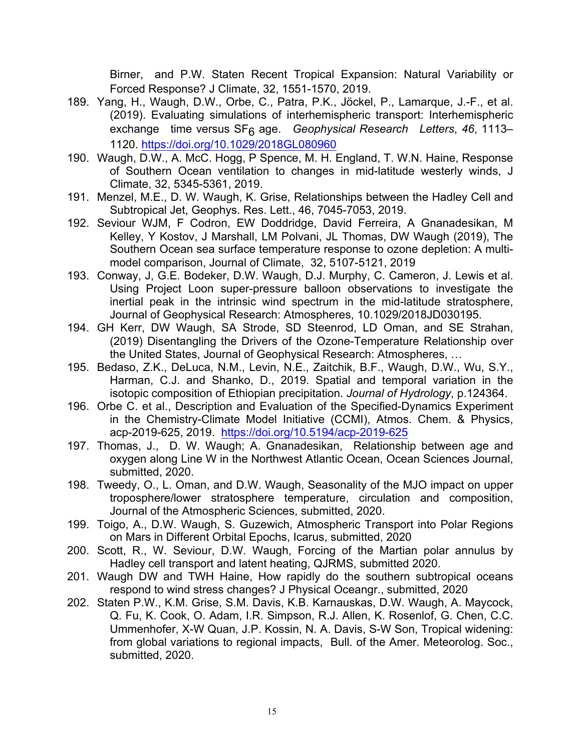Birner, and P.W. Staten Recent Tropical Expansion: Natural Variability or Forced Response? J Climate, 32, 1551-1570, 2019.

- 189. Yang, H., Waugh, D.W., Orbe, C., Patra, P.K., Jöckel, P., Lamarque, J.-F., et al. (2019). Evaluating simulations of interhemispheric transport: Interhemispheric exchange time versus SF6 age. *Geophysical Research Letters*, *46*, 1113– 1120. https://doi.org/10.1029/2018GL080960
- 190. Waugh, D.W., A. McC. Hogg, P Spence, M. H. England, T. W.N. Haine, Response of Southern Ocean ventilation to changes in mid-latitude westerly winds, J Climate, 32, 5345-5361, 2019.
- 191. Menzel, M.E., D. W. Waugh, K. Grise, Relationships between the Hadley Cell and Subtropical Jet, Geophys. Res. Lett., 46, 7045-7053, 2019.
- 192. Seviour WJM, F Codron, EW Doddridge, David Ferreira, A Gnanadesikan, M Kelley, Y Kostov, J Marshall, LM Polvani, JL Thomas, DW Waugh (2019), The Southern Ocean sea surface temperature response to ozone depletion: A multimodel comparison, Journal of Climate, 32, 5107-5121, 2019
- 193. Conway, J, G.E. Bodeker, D.W. Waugh, D.J. Murphy, C. Cameron, J. Lewis et al. Using Project Loon super-pressure balloon observations to investigate the inertial peak in the intrinsic wind spectrum in the mid-latitude stratosphere, Journal of Geophysical Research: Atmospheres, 10.1029/2018JD030195.
- 194. GH Kerr, DW Waugh, SA Strode, SD Steenrod, LD Oman, and SE Strahan, (2019) Disentangling the Drivers of the Ozone-Temperature Relationship over the United States, Journal of Geophysical Research: Atmospheres, …
- 195. Bedaso, Z.K., DeLuca, N.M., Levin, N.E., Zaitchik, B.F., Waugh, D.W., Wu, S.Y., Harman, C.J. and Shanko, D., 2019. Spatial and temporal variation in the isotopic composition of Ethiopian precipitation. *Journal of Hydrology*, p.124364.
- 196. Orbe C. et al., Description and Evaluation of the Specified-Dynamics Experiment in the Chemistry-Climate Model Initiative (CCMI), Atmos. Chem. & Physics, acp-2019-625, 2019. https://doi.org/10.5194/acp-2019-625
- 197. Thomas, J., D. W. Waugh; A. Gnanadesikan, Relationship between age and oxygen along Line W in the Northwest Atlantic Ocean, Ocean Sciences Journal, submitted, 2020.
- 198. Tweedy, O., L. Oman, and D.W. Waugh, Seasonality of the MJO impact on upper troposphere/lower stratosphere temperature, circulation and composition, Journal of the Atmospheric Sciences, submitted, 2020.
- 199. Toigo, A., D.W. Waugh, S. Guzewich, Atmospheric Transport into Polar Regions on Mars in Different Orbital Epochs, Icarus, submitted, 2020
- 200. Scott, R., W. Seviour, D.W. Waugh, Forcing of the Martian polar annulus by Hadley cell transport and latent heating, QJRMS, submitted 2020.
- 201. Waugh DW and TWH Haine, How rapidly do the southern subtropical oceans respond to wind stress changes? J Physical Oceangr., submitted, 2020
- 202. Staten P.W., K.M. Grise, S.M. Davis, K.B. Karnauskas, D.W. Waugh, A. Maycock, Q. Fu, K. Cook, O. Adam, I.R. Simpson, R.J. Allen, K. Rosenlof, G. Chen, C.C. Ummenhofer, X-W Quan, J.P. Kossin, N. A. Davis, S-W Son, Tropical widening: from global variations to regional impacts, Bull. of the Amer. Meteorolog. Soc., submitted, 2020.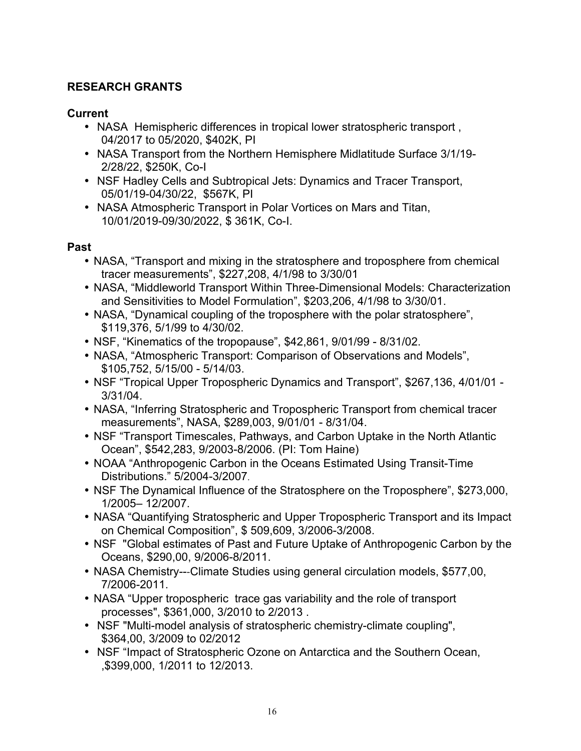# **RESEARCH GRANTS**

### **Current**

- NASA Hemispheric differences in tropical lower stratospheric transport , 04/2017 to 05/2020, \$402K, PI
- NASA Transport from the Northern Hemisphere Midlatitude Surface 3/1/19- 2/28/22, \$250K, Co-I
- NSF Hadley Cells and Subtropical Jets: Dynamics and Tracer Transport, 05/01/19-04/30/22, \$567K, PI
- NASA Atmospheric Transport in Polar Vortices on Mars and Titan, 10/01/2019-09/30/2022, \$ 361K, Co-I.

### **Past**

- NASA, "Transport and mixing in the stratosphere and troposphere from chemical tracer measurements", \$227,208, 4/1/98 to 3/30/01
- NASA, "Middleworld Transport Within Three-Dimensional Models: Characterization and Sensitivities to Model Formulation", \$203,206, 4/1/98 to 3/30/01.
- NASA, "Dynamical coupling of the troposphere with the polar stratosphere", \$119,376, 5/1/99 to 4/30/02.
- NSF, "Kinematics of the tropopause", \$42,861, 9/01/99 8/31/02.
- NASA, "Atmospheric Transport: Comparison of Observations and Models", \$105,752, 5/15/00 - 5/14/03.
- NSF "Tropical Upper Tropospheric Dynamics and Transport", \$267,136, 4/01/01 3/31/04.
- NASA, "Inferring Stratospheric and Tropospheric Transport from chemical tracer measurements", NASA, \$289,003, 9/01/01 - 8/31/04.
- NSF "Transport Timescales, Pathways, and Carbon Uptake in the North Atlantic Ocean", \$542,283, 9/2003-8/2006. (PI: Tom Haine)
- NOAA "Anthropogenic Carbon in the Oceans Estimated Using Transit-Time Distributions." 5/2004-3/2007.
- NSF The Dynamical Influence of the Stratosphere on the Troposphere", \$273,000, 1/2005– 12/2007.
- NASA "Quantifying Stratospheric and Upper Tropospheric Transport and its Impact on Chemical Composition", \$ 509,609, 3/2006-3/2008.
- NSF "Global estimates of Past and Future Uptake of Anthropogenic Carbon by the Oceans, \$290,00, 9/2006-8/2011.
- NASA Chemistry---Climate Studies using general circulation models, \$577,00, 7/2006-2011.
- NASA "Upper tropospheric trace gas variability and the role of transport processes", \$361,000, 3/2010 to 2/2013 .
- NSF "Multi-model analysis of stratospheric chemistry-climate coupling", \$364,00, 3/2009 to 02/2012
- NSF "Impact of Stratospheric Ozone on Antarctica and the Southern Ocean, ,\$399,000, 1/2011 to 12/2013.